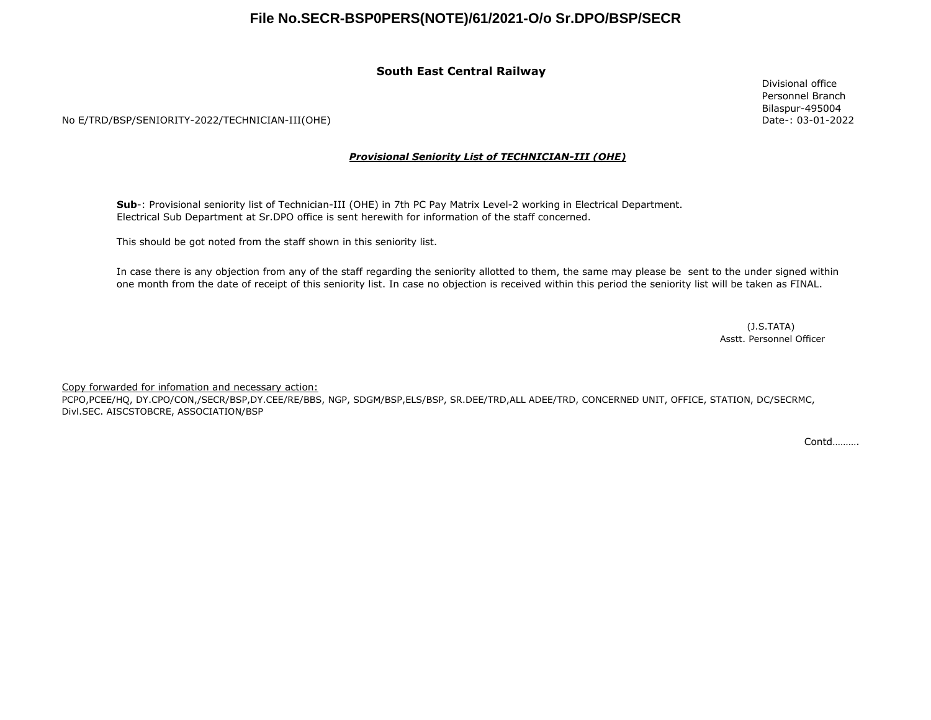## **File No.SECR-BSP0PERS(NOTE)/61/2021-O/o Sr.DPO/BSP/SECR**

### **South East Central Railway**

No E/TRD/BSP/SENIORITY-2022/TECHNICIAN-III(OHE)

#### *Provisional Seniority List of TECHNICIAN-III (OHE)*

**Sub**-: Provisional seniority list of Technician-III (OHE) in 7th PC Pay Matrix Level-2 working in Electrical Department. Electrical Sub Department at Sr.DPO office is sent herewith for information of the staff concerned.

This should be got noted from the staff shown in this seniority list.

In case there is any objection from any of the staff regarding the seniority allotted to them, the same may please be sent to the under signed within one month from the date of receipt of this seniority list. In case no objection is received within this period the seniority list will be taken as FINAL.

> (J.S.TATA) Asstt. Personnel Officer

Copy forwarded for infomation and necessary action:

PCPO,PCEE/HQ, DY.CPO/CON,/SECR/BSP,DY.CEE/RE/BBS, NGP, SDGM/BSP,ELS/BSP, SR.DEE/TRD,ALL ADEE/TRD, CONCERNED UNIT, OFFICE, STATION, DC/SECRMC, Divl.SEC. AISCSTOBCRE, ASSOCIATION/BSP

Contd……….

Divisional office Personnel Branch Bilaspur-495004 Date-: 03-01-2022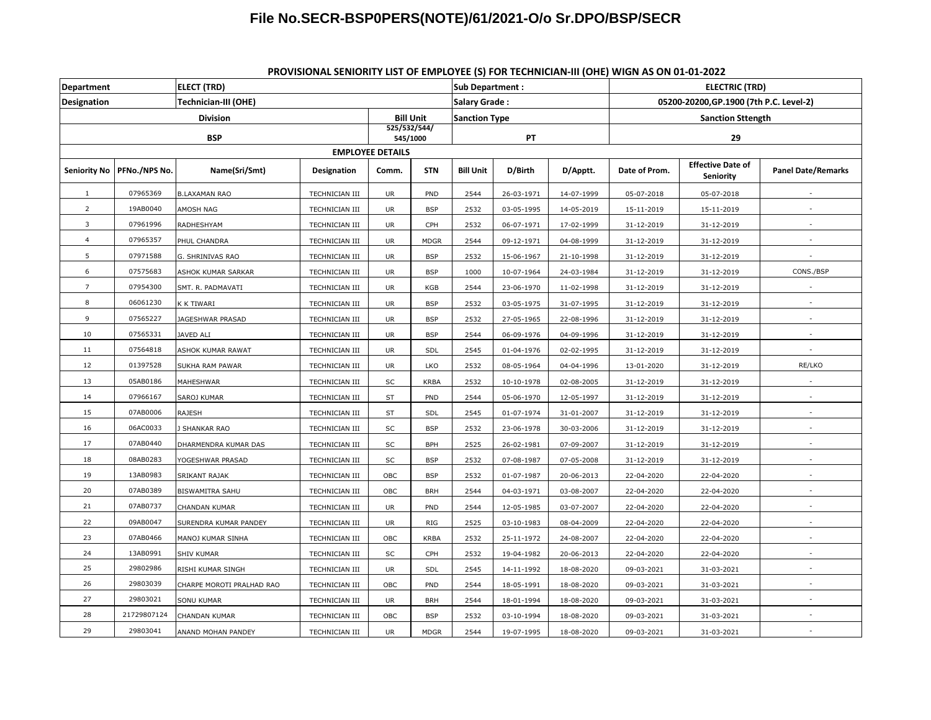# **File No.SECR-BSP0PERS(NOTE)/61/2021-O/o Sr.DPO/BSP/SECR**

| <b>Department</b>       |               | <b>ELECT (TRD)</b>        |                          |           |                      | <b>Sub Department:</b> |            |                          | <b>ELECTRIC (TRD)</b>                   |                                              |                           |
|-------------------------|---------------|---------------------------|--------------------------|-----------|----------------------|------------------------|------------|--------------------------|-----------------------------------------|----------------------------------------------|---------------------------|
| <b>Designation</b>      |               | Technician-III (OHE)      |                          |           |                      | Salary Grade:          |            |                          | 05200-20200, GP.1900 (7th P.C. Level-2) |                                              |                           |
| Division                |               |                           | <b>Bill Unit</b>         |           | <b>Sanction Type</b> |                        |            | <b>Sanction Sttength</b> |                                         |                                              |                           |
| <b>BSP</b>              |               |                           | 525/532/544/<br>545/1000 |           | PT                   |                        |            | 29                       |                                         |                                              |                           |
| <b>EMPLOYEE DETAILS</b> |               |                           |                          |           |                      |                        |            |                          |                                         |                                              |                           |
| <b>Seniority No</b>     | PFNo./NPS No. | Name(Sri/Smt)             | Designation              | Comm.     | <b>STN</b>           | <b>Bill Unit</b>       | D/Birth    | D/Apptt.                 | Date of Prom.                           | <b>Effective Date of</b><br><b>Seniority</b> | <b>Panel Date/Remarks</b> |
| $\mathbf{1}$            | 07965369      | <b>B.LAXAMAN RAO</b>      | TECHNICIAN III           | UR        | PND                  | 2544                   | 26-03-1971 | 14-07-1999               | 05-07-2018                              | 05-07-2018                                   |                           |
| $\overline{2}$          | 19AB0040      | AMOSH NAG                 | TECHNICIAN III           | UR        | <b>BSP</b>           | 2532                   | 03-05-1995 | 14-05-2019               | 15-11-2019                              | 15-11-2019                                   | ٠                         |
| 3                       | 07961996      | RADHESHYAM                | TECHNICIAN III           | <b>UR</b> | CPH                  | 2532                   | 06-07-1971 | 17-02-1999               | 31-12-2019                              | 31-12-2019                                   |                           |
| $\overline{4}$          | 07965357      | PHUL CHANDRA              | TECHNICIAN III           | UR        | <b>MDGR</b>          | 2544                   | 09-12-1971 | 04-08-1999               | 31-12-2019                              | 31-12-2019                                   |                           |
| 5                       | 07971588      | G. SHRINIVAS RAO          | TECHNICIAN III           | <b>UR</b> | <b>BSP</b>           | 2532                   | 15-06-1967 | 21-10-1998               | 31-12-2019                              | 31-12-2019                                   |                           |
| 6                       | 07575683      | ASHOK KUMAR SARKAR        | TECHNICIAN III           | UR        | <b>BSP</b>           | 1000                   | 10-07-1964 | 24-03-1984               | 31-12-2019                              | 31-12-2019                                   | CONS./BSP                 |
| $\overline{7}$          | 07954300      | SMT. R. PADMAVATI         | TECHNICIAN III           | UR        | KGB                  | 2544                   | 23-06-1970 | 11-02-1998               | 31-12-2019                              | 31-12-2019                                   |                           |
| 8                       | 06061230      | K K TIWARI                | TECHNICIAN III           | UR        | <b>BSP</b>           | 2532                   | 03-05-1975 | 31-07-1995               | 31-12-2019                              | 31-12-2019                                   |                           |
| 9                       | 07565227      | JAGESHWAR PRASAD          | TECHNICIAN III           | UR        | <b>BSP</b>           | 2532                   | 27-05-1965 | 22-08-1996               | 31-12-2019                              | 31-12-2019                                   |                           |
| 10                      | 07565331      | JAVED ALI                 | TECHNICIAN III           | UR        | <b>BSP</b>           | 2544                   | 06-09-1976 | 04-09-1996               | 31-12-2019                              | 31-12-2019                                   |                           |
| 11                      | 07564818      | ASHOK KUMAR RAWAT         | TECHNICIAN III           | <b>UR</b> | SDL                  | 2545                   | 01-04-1976 | 02-02-1995               | 31-12-2019                              | 31-12-2019                                   |                           |
| 12                      | 01397528      | SUKHA RAM PAWAR           | TECHNICIAN III           | <b>UR</b> | LKO                  | 2532                   | 08-05-1964 | 04-04-1996               | 13-01-2020                              | 31-12-2019                                   | RE/LKO                    |
| 13                      | 05AB0186      | MAHESHWAR                 | TECHNICIAN III           | SC        | <b>KRBA</b>          | 2532                   | 10-10-1978 | 02-08-2005               | 31-12-2019                              | 31-12-2019                                   |                           |
| 14                      | 07966167      | SAROJ KUMAR               | TECHNICIAN III           | ST        | PND                  | 2544                   | 05-06-1970 | 12-05-1997               | 31-12-2019                              | 31-12-2019                                   |                           |
| 15                      | 07AB0006      | RAJESH                    | TECHNICIAN III           | ST        | <b>SDL</b>           | 2545                   | 01-07-1974 | 31-01-2007               | 31-12-2019                              | 31-12-2019                                   |                           |
| 16                      | 06AC0033      | <b>J SHANKAR RAO</b>      | TECHNICIAN III           | SC        | <b>BSP</b>           | 2532                   | 23-06-1978 | 30-03-2006               | 31-12-2019                              | 31-12-2019                                   |                           |
| 17                      | 07AB0440      | DHARMENDRA KUMAR DAS      | TECHNICIAN III           | SC        | <b>BPH</b>           | 2525                   | 26-02-1981 | 07-09-2007               | 31-12-2019                              | 31-12-2019                                   |                           |
| 18                      | 08AB0283      | YOGESHWAR PRASAD          | TECHNICIAN III           | SC        | <b>BSP</b>           | 2532                   | 07-08-1987 | 07-05-2008               | 31-12-2019                              | 31-12-2019                                   |                           |
| 19                      | 13AB0983      | SRIKANT RAJAK             | TECHNICIAN III           | OBC       | <b>BSP</b>           | 2532                   | 01-07-1987 | 20-06-2013               | 22-04-2020                              | 22-04-2020                                   |                           |
| 20                      | 07AB0389      | BISWAMITRA SAHU           | TECHNICIAN III           | OBC       | <b>BRH</b>           | 2544                   | 04-03-1971 | 03-08-2007               | 22-04-2020                              | 22-04-2020                                   |                           |
| 21                      | 07AB0737      | CHANDAN KUMAR             | TECHNICIAN III           | UR        | PND                  | 2544                   | 12-05-1985 | 03-07-2007               | 22-04-2020                              | 22-04-2020                                   |                           |
| 22                      | 09AB0047      | SURENDRA KUMAR PANDEY     | TECHNICIAN III           | <b>UR</b> | RIG                  | 2525                   | 03-10-1983 | 08-04-2009               | 22-04-2020                              | 22-04-2020                                   | $\overline{a}$            |
| 23                      | 07AB0466      | MANOJ KUMAR SINHA         | TECHNICIAN III           | OBC       | <b>KRBA</b>          | 2532                   | 25-11-1972 | 24-08-2007               | 22-04-2020                              | 22-04-2020                                   |                           |
| 24                      | 13AB0991      | SHIV KUMAR                | TECHNICIAN III           | SC        | CPH                  | 2532                   | 19-04-1982 | 20-06-2013               | 22-04-2020                              | 22-04-2020                                   | ٠                         |
| 25                      | 29802986      | RISHI KUMAR SINGH         | TECHNICIAN III           | UR        | <b>SDL</b>           | 2545                   | 14-11-1992 | 18-08-2020               | 09-03-2021                              | 31-03-2021                                   | $\sim$                    |
| 26                      | 29803039      | CHARPE MOROTI PRALHAD RAO | <b>TECHNICIAN III</b>    | OBC       | PND                  | 2544                   | 18-05-1991 | 18-08-2020               | 09-03-2021                              | 31-03-2021                                   | $\overline{a}$            |
| 27                      | 29803021      | <b>SONU KUMAR</b>         | TECHNICIAN III           | UR        | <b>BRH</b>           | 2544                   | 18-01-1994 | 18-08-2020               | 09-03-2021                              | 31-03-2021                                   | $\overline{a}$            |
| 28                      | 21729807124   | CHANDAN KUMAR             | TECHNICIAN III           | OBC       | <b>BSP</b>           | 2532                   | 03-10-1994 | 18-08-2020               | 09-03-2021                              | 31-03-2021                                   |                           |
| 29                      | 29803041      | ANAND MOHAN PANDEY        | TECHNICIAN III           | <b>UR</b> | <b>MDGR</b>          | 2544                   | 19-07-1995 | 18-08-2020               | 09-03-2021                              | 31-03-2021                                   |                           |

### **PROVISIONAL SENIORITY LIST OF EMPLOYEE (S) FOR TECHNICIAN-III (OHE) WIGN AS ON 01-01-2022**